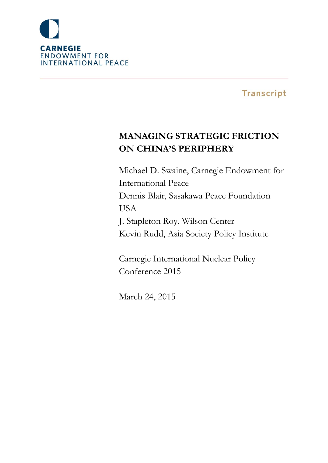

**Transcript** 

# **MANAGING STRATEGIC FRICTION ON CHINA'S PERIPHERY**

Michael D. Swaine, Carnegie Endowment for International Peace Dennis Blair, Sasakawa Peace Foundation **USA** J. Stapleton Roy, Wilson Center Kevin Rudd, Asia Society Policy Institute

Carnegie International Nuclear Policy Conference 2015

March 24, 2015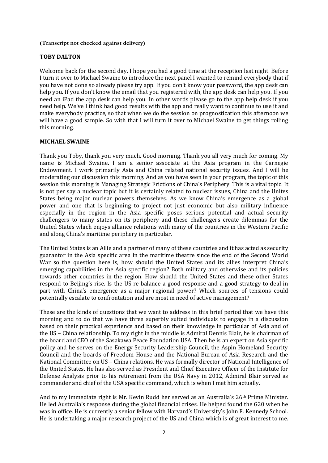## **(Transcript not checked against delivery)**

## **TOBY DALTON**

Welcome back for the second day. I hope you had a good time at the reception last night. Before I turn it over to Michael Swaine to introduce the next panel I wanted to remind everybody that if you have not done so already please try app. If you don't know your password, the app desk can help you. If you don't know the email that you registered with, the app desk can help you. If you need an iPad the app desk can help you. In other words please go to the app help desk if you need help. We've I think had good results with the app and really want to continue to use it and make everybody practice, so that when we do the session on prognostication this afternoon we will have a good sample. So with that I will turn it over to Michael Swaine to get things rolling this morning.

## **MICHAEL SWAINE**

Thank you Toby, thank you very much. Good morning. Thank you all very much for coming. My name is Michael Swaine. I am a senior associate at the Asia program in the Carnegie Endowment. I work primarily Asia and China related national security issues. And I will be moderating our discussion this morning. And as you have seen in your program, the topic of this session this morning is Managing Strategic Frictions of China's Periphery. This is a vital topic. It is not per say a nuclear topic but it is certainly related to nuclear issues, China and the Unites States being major nuclear powers themselves. As we know China's emergence as a global power and one that is beginning to project not just economic but also military influence especially in the region in the Asia specific poses serious potential and actual security challengers to many states on its periphery and these challengers create dilemmas for the United States which enjoys alliance relations with many of the countries in the Western Pacific and along China's maritime periphery in particular.

The United States is an Allie and a partner of many of these countries and it has acted as security guarantor in the Asia specific area in the maritime theatre since the end of the Second World War so the question here is, how should the United States and its allies interpret China's emerging capabilities in the Asia specific region? Both military and otherwise and its policies towards other countries in the region. How should the United States and these other States respond to Beijing's rise. Is the US re-balance a good response and a good strategy to deal in part with China's emergence as a major regional power? Which sources of tensions could potentially escalate to confrontation and are most in need of active management?

These are the kinds of questions that we want to address in this brief period that we have this morning and to do that we have three superbly suited individuals to engage in a discussion based on their practical experience and based on their knowledge in particular of Asia and of the US – China relationship. To my right in the middle is Admiral Dennis Blair, he is chairman of the board and CEO of the Sasakawa Peace Foundation USA. Then he is an expert on Asia specific policy and he serves on the Energy Security Leadership Council, the Aspin Homeland Security Council and the boards of Freedom House and the National Bureau of Asia Research and the National Committee on US – China relations. He was formally director of National Intelligence of the United States. He has also served as President and Chief Executive Officer of the Institute for Defense Analysis prior to his retirement from the USA Navy in 2012, Admiral Blair served as commander and chief of the USA specific command, which is when I met him actually.

And to my immediate right is Mr. Kevin Rudd her served as an Australia's 26<sup>th</sup> Prime Minister. He led Australia's response during the global financial crises. He helped found the G20 when he was in office. He is currently a senior fellow with Harvard's University's John F. Kennedy School. He is undertaking a major research project of the US and China which is of great interest to me.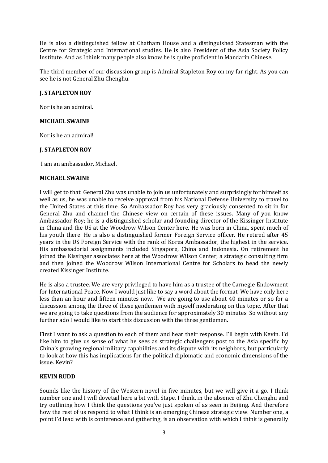He is also a distinguished fellow at Chatham House and a distinguished Statesman with the Centre for Strategic and International studies. He is also President of the Asia Society Policy Institute. And as I think many people also know he is quite proficient in Mandarin Chinese.

The third member of our discussion group is Admiral Stapleton Roy on my far right. As you can see he is not General Zhu Chenghu.

## **J. STAPLETON ROY**

Nor is he an admiral.

#### **MICHAEL SWAINE**

Nor is he an admiral!

## **J. STAPLETON ROY**

I am an ambassador, Michael.

## **MICHAEL SWAINE**

I will get to that. General Zhu was unable to join us unfortunately and surprisingly for himself as well as us, he was unable to receive approval from his National Defense University to travel to the United States at this time. So Ambassador Roy has very graciously consented to sit in for General Zhu and channel the Chinese view on certain of these issues. Many of you know Ambassador Roy; he is a distinguished scholar and founding director of the Kissinger Institute in China and the US at the Woodrow Wilson Center here. He was born in China, spent much of his youth there. He is also a distinguished former Foreign Service officer. He retired after 45 years in the US Foreign Service with the rank of Korea Ambassador, the highest in the service. His ambassadorial assignments included Singapore, China and Indonesia. On retirement he joined the Kissinger associates here at the Woodrow Wilson Center, a strategic consulting firm and then joined the Woodrow Wilson International Centre for Scholars to head the newly created Kissinger Institute.

He is also a trustee. We are very privileged to have him as a trustee of the Carnegie Endowment for International Peace. Now I would just like to say a word about the format. We have only here less than an hour and fifteen minutes now. We are going to use about 40 minutes or so for a discussion among the three of these gentlemen with myself moderating on this topic. After that we are going to take questions from the audience for approximately 30 minutes. So without any further ado I would like to start this discussion with the three gentlemen.

First I want to ask a question to each of them and hear their response. I'll begin with Kevin. I'd like him to give us sense of what he sees as strategic challengers post to the Asia specific by China's growing regional military capabilities and its dispute with its neighbors, but particularly to look at how this has implications for the political diplomatic and economic dimensions of the issue. Kevin?

#### **KEVIN RUDD**

Sounds like the history of the Western novel in five minutes, but we will give it a go. I think number one and I will dovetail here a bit with Stape, I think, in the absence of Zhu Chenghu and try outlining how I think the questions you've just spoken of as seen in Beijing. And therefore how the rest of us respond to what I think is an emerging Chinese strategic view. Number one, a point I'd lead with is conference and gathering, is an observation with which I think is generally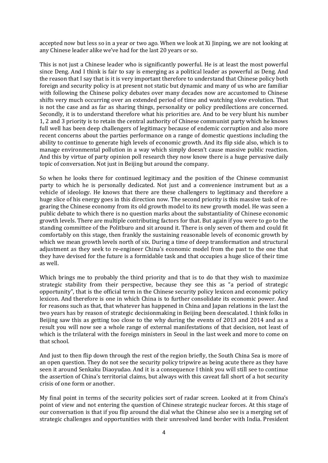accepted now but less so in a year or two ago. When we look at Xi Jinping, we are not looking at any Chinese leader alike we've had for the last 20 years or so.

This is not just a Chinese leader who is significantly powerful. He is at least the most powerful since Deng. And I think is fair to say is emerging as a political leader as powerful as Deng. And the reason that I say that is it is very important therefore to understand that Chinese policy both foreign and security policy is at present not static but dynamic and many of us who are familiar with following the Chinese policy debates over many decades now are accustomed to Chinese shifts very much occurring over an extended period of time and watching slow evolution. That is not the case and as far as sharing things, personality or policy predilections are concerned. Secondly, it is to understand therefore what his priorities are. And to be very blunt his number 1, 2 and 3 priority is to retain the central authority of Chinese communist party which he knows full well has been deep challengers of legitimacy because of endemic corruption and also more recent concerns about the parties performance on a range of domestic questions including the ability to continue to generate high levels of economic growth. And its flip side also, which is to manage environmental pollution in a way which simply doesn't cause massive public reaction. And this by virtue of party opinion poll research they now know there is a huge pervasive daily topic of conversation. Not just in Beijing but around the company.

So when he looks there for continued legitimacy and the position of the Chinese communist party to which he is personally dedicated. Not just and a convenience instrument but as a vehicle of ideology. He knows that there are these challengers to legitimacy and therefore a huge slice of his energy goes in this direction now. The second priority is this massive task of regearing the Chinese economy from its old growth model to its new growth model. He was seen a public debate to which there is no question marks about the substantiality of Chinese economic growth levels. There are multiple contributing factors for that. But again if you were to go to the standing committee of the Politburo and sit around it. There is only seven of them and could fit comfortably on this stage, then frankly the sustaining reasonable levels of economic growth by which we mean growth levels north of six. During a time of deep transformation and structural adjustment as they seek to re-engineer China's economic model from the past to the one that they have devised for the future is a formidable task and that occupies a huge slice of their time as well.

Which brings me to probably the third priority and that is to do that they wish to maximize strategic stability from their perspective, because they see this as "a period of strategic opportunity", that is the official term in the Chinese security policy lexicon and economic policy lexicon. And therefore is one in which China is to further consolidate its economic power. And for reasons such as that, that whatever has happened in China and Japan relations in the last the two years has by reason of strategic decisionmaking in Beijing been deescalated. I think folks in Beijing saw this as getting too close to the why during the events of 2013 and 2014 and as a result you will now see a whole range of external manifestations of that decision, not least of which is the trilateral with the foreign ministers in Seoul in the last week and more to come on that school.

And just to then flip down through the rest of the region briefly, the South China Sea is more of an open question. They do not see the security policy tripwire as being acute there as they have seen it around Senkaku Diaoyudao. And it is a consequence I think you will still see to continue the assertion of China's territorial claims, but always with this caveat fall short of a hot security crisis of one form or another.

My final point in terms of the security policies sort of radar screen. Looked at it from China's point of view and not entering the question of Chinese strategic nuclear forces. At this stage of our conversation is that if you flip around the dial what the Chinese also see is a merging set of strategic challenges and opportunities with their unresolved land border with India. President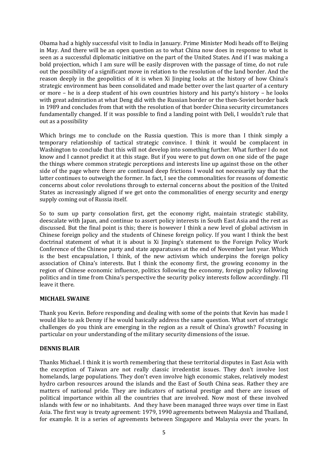Obama had a highly successful visit to India in January. Prime Minister Modi heads off to Beijing in May. And there will be an open question as to what China now does in response to what is seen as a successful diplomatic initiative on the part of the United States. And if I was making a bold projection, which I am sure will be easily disproven with the passage of time, do not rule out the possibility of a significant move in relation to the resolution of the land border. And the reason deeply in the geopolitics of it is when Xi Jinping looks at the history of how China's strategic environment has been consolidated and made better over the last quarter of a century or more – he is a deep student of his own countries history and his party's history – he looks with great admiration at what Deng did with the Russian border or the then-Soviet border back in 1989 and concludes from that with the resolution of that border China security circumstances fundamentally changed. If it was possible to find a landing point with Deli, I wouldn't rule that out as a possibility

Which brings me to conclude on the Russia question. This is more than I think simply a temporary relationship of tactical strategic convince. I think it would be complacent in Washington to conclude that this will not develop into something further. What further I do not know and I cannot predict it at this stage. But if you were to put down on one side of the page the things where common strategic perceptions and interests line up against those on the other side of the page where there are continued deep frictions I would not necessarily say that the latter continues to outweigh the former. In fact, I see the commonalities for reasons of domestic concerns about color revolutions through to external concerns about the position of the United States as increasingly aligned if we get onto the commonalities of energy security and energy supply coming out of Russia itself.

So to sum up party consolation first, get the economy right, maintain strategic stability, deescalate with Japan, and continue to assert policy interests in South East Asia and the rest as discussed. But the final point is this; there is however I think a new level of global activism in Chinese foreign policy and the students of Chinese foreign policy. If you want I think the best doctrinal statement of what it is about is Xi Jinping's statement to the Foreign Policy Work Conference of the Chinese party and state apparatuses at the end of November last year. Which is the best encapsulation, I think, of the new activism which underpins the foreign policy association of China's interests. But I think the economy first, the growing economy in the region of Chinese economic influence, politics following the economy, foreign policy following politics and in time from China's perspective the security policy interests follow accordingly. I'll leave it there.

## **MICHAEL SWAINE**

Thank you Kevin. Before responding and dealing with some of the points that Kevin has made I would like to ask Denny if he would basically address the same question. What sort of strategic challenges do you think are emerging in the region as a result of China's growth? Focusing in particular on your understanding of the military security dimensions of the issue.

#### **DENNIS BLAIR**

Thanks Michael. I think it is worth remembering that these territorial disputes in East Asia with the exception of Taiwan are not really classic irredentist issues. They don't involve lost homelands, large populations. They don't even involve high economic stakes, relatively modest hydro carbon resources around the islands and the East of South China seas. Rather they are matters of national pride. They are indicators of national prestige and there are issues of political importance within all the countries that are involved. Now most of these involved islands with few or no inhabitants. And they have been managed three ways over time in East Asia. The first way is treaty agreement: 1979, 1990 agreements between Malaysia and Thailand, for example. It is a series of agreements between Singapore and Malaysia over the years. In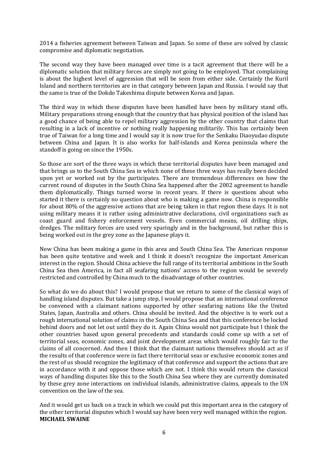2014 a fisheries agreement between Taiwan and Japan. So some of these are solved by classic compromise and diplomatic negotiation.

The second way they have been managed over time is a tacit agreement that there will be a diplomatic solution that military forces are simply not going to be employed. That complaining is about the highest level of aggression that will be seen from either side. Certainly the Kuril Island and northern territories are in that category between Japan and Russia. I would say that the same is true of the Dokdo Takeshima dispute between Korea and Japan.

The third way in which these disputes have been handled have been by military stand offs. Military preparations strong enough that the country that has physical position of the island has a good chance of being able to repel military aggression by the other country that claims that resulting in a lack of incentive or nothing really happening militarily. This has certainly been true of Taiwan for a long time and I would say it is now true for the Senkaku Diaoyudao dispute between China and Japan. It is also works for half-islands and Korea peninsula where the standoff is going on since the 1950s.

So those are sort of the three ways in which these territorial disputes have been managed and that brings us to the South China Sea in which none of these three ways has really been decided upon yet or worked out by the participates. There are tremendous differences on how the current round of disputes in the South China Sea happened after the 2002 agreement to handle them diplomatically. Things turned worse in recent years. If there is questions about who started it there is certainly no question about who is making a game now. China is responsible for about 80% of the aggressive actions that are being taken in that region these days. It is not using military means it is rather using administrative declarations, civil organizations such as coast guard and fishery enforcement vessels. Even commercial means, oil drilling ships, dredges. The military forces are used very sparingly and in the background, but rather this is being worked out in the grey zone as the Japanese plays it.

Now China has been making a game in this area and South China Sea. The American response has been quite tentative and week and I think it doesn't recognize the important American interest in the region. Should China achieve the full range of its territorial ambitions in the South China Sea then America, in fact all seafaring nations' access to the region would be severely restricted and controlled by China much to the disadvantage of other countries.

So what do we do about this? I would propose that we return to some of the classical ways of handling island disputes. But take a jump step, I would propose that an international conference be convened with a claimant nations supported by other seafaring nations like the United States, Japan, Australia and others. China should be invited. And the objective is to work out a rough international solution of claims in the South China Sea and that this conference be locked behind doors and not let out until they do it. Again China would not participate but I think the other countries based upon general precedents and standards could come up with a set of territorial seas, economic zones, and joint development areas which would roughly fair to the claims of all concerned. And then I think that the claimant nations themselves should act as if the results of that conference were in fact there territorial seas or exclusive economic zones and the rest of us should recognize the legitimacy of that conference and support the actions that are in accordance with it and oppose those which are not. I think this would return the classical ways of handling disputes like this to the South China Sea where they are currently dominated by these grey zone interactions on individual islands, administrative claims, appeals to the UN convention on the law of the sea.

And it would get us back on a track in which we could put this important area in the category of the other territorial disputes which I would say have been very well managed within the region. **MICHAEL SWAINE**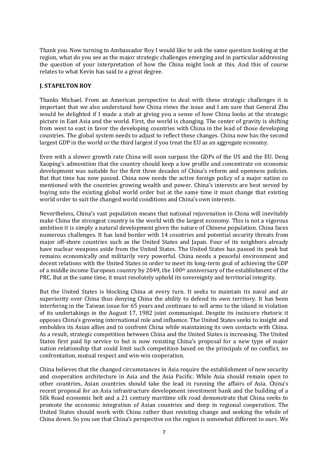Thank you. Now turning to Ambassador Roy I would like to ask the same question looking at the region, what do you see as the major strategic challenges emerging and in particular addressing the question of your interpretation of how the China might look at this. And this of course relates to what Kevin has said to a great degree.

## **J. STAPELTON ROY**

Thanks Michael. From an American perspective to deal with these strategic challenges it is important that we also understand how China views the issue and I am sure that General Zhu would be delighted if I made a stab at giving you a sense of how China looks at the strategic picture in East Asia and the world. First, the world is changing. The center of gravity is shifting from west to east in favor the developing countries with China in the lead of those developing countries. The global system needs to adjust to reflect these changes. China now has the second largest GDP in the world or the third largest if you treat the EU as an aggregate economy.

Even with a slower growth rate China will soon surpass the GDPs of the US and the EU. Deng Xaoping's admonition that the country should keep a low profile and concentrate on economic development was suitable for the first three decades of China's reform and openness policies. But that time has now passed. China now needs the active foreign policy of a major nation co mentioned with the countries growing wealth and power. China's interests are best served by buying into the existing global world order but at the same time it must change that existing world order to suit the changed world conditions and China's own interests.

Nevertheless, China's vast population means that national rejuvenation in China will inevitably make China the strongest country in the world with the largest economy. This is not a vigorous ambition it is simply a natural development given the nature of Chinese population. China faces numerous challenges. It has land border with 14 countries and potential security threats from major off-shore countries such as the United States and Japan. Four of its neighbors already have nuclear weapons aside from the United States. The United States has passed its peak but remains economically and militarily very powerful. China needs a peaceful environment and decent relations with the United States in order to meet its long-term goal of achieving the GDP of a middle income European country by 2049, the 100th anniversary of the establishment of the PRC. But at the same time, it must resolutely uphold its sovereignty and territorial integrity.

But the United States is blocking China at every turn. It seeks to maintain its naval and air superiority over China thus denying China the ability to defend its own territory. It has been interfering in the Taiwan issue for 65 years and continues to sell arms to the island in violation of its undertakings in the August 17, 1982 joint communiqué. Despite its insincere rhetoric it opposes China's growing international role and influence. The United States seeks to insight and embolden its Asian allies and to confront China while maintaining its own contacts with China. As a result, strategic competition between China and the United States is increasing. The United States first paid lip service to but is now resisting China's proposal for a new type of major nation relationship that could limit such competition based on the principals of no conflict, no confrontation, mutual respect and win-win cooperation.

China believes that the changed circumstances in Asia require the establishment of new security and cooperation architecture in Asia and the Asia Pacific. While Asia should remain open to other countries, Asian countries should take the lead in running the affairs of Asia. China's recent proposal for an Asia infrastructure development investment bank and the building of a Silk Road economic belt and a 21 century maritime silk road demonstrate that China seeks to promote the economic integration of Asian countries and deep in regional cooperation. The United States should work with China rather than resisting change and seeking the whole of China down. So you see that China's perspective on the region is somewhat different to ours. We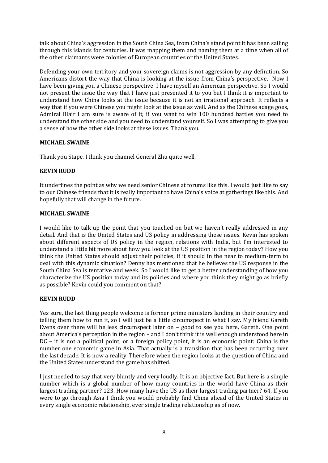talk about China's aggression in the South China Sea, from China's stand point it has been sailing through this islands for centuries. It was mapping them and naming them at a time when all of the other claimants were colonies of European countries or the United States.

Defending your own territory and your sovereign claims is not aggression by any definition. So Americans distort the way that China is looking at the issue from China's perspective. Now I have been giving you a Chinese perspective. I have myself an American perspective. So I would not present the issue the way that I have just presented it to you but I think it is important to understand how China looks at the issue because it is not an irrational approach. It reflects a way that if you were Chinese you might look at the issue as well. And as the Chinese adage goes, Admiral Blair I am sure is aware of it, if you want to win 100 hundred battles you need to understand the other side and you need to understand yourself. So I was attempting to give you a sense of how the other side looks at these issues. Thank you.

# **MICHAEL SWAINE**

Thank you Stape. I think you channel General Zhu quite well.

# **KEVIN RUDD**

It underlines the point as why we need senior Chinese at forums like this. I would just like to say to our Chinese friends that it is really important to have China's voice at gatherings like this. And hopefully that will change in the future.

## **MICHAEL SWAINE**

I would like to talk up the point that you touched on but we haven't really addressed in any detail. And that is the United States and US policy in addressing these issues. Kevin has spoken about different aspects of US policy in the region, relations with India, but I'm interested to understand a little bit more about how you look at the US position in the region today? How you think the United States should adjust their policies, if it should in the near to medium-term to deal with this dynamic situation? Denny has mentioned that he believes the US response in the South China Sea is tentative and week. So I would like to get a better understanding of how you characterize the US position today and its policies and where you think they might go as briefly as possible? Kevin could you comment on that?

## **KEVIN RUDD**

Yes sure, the last thing people welcome is former prime ministers landing in their country and telling them how to run it, so I will just be a little circumspect in what I say. My friend Gareth Evens over there will be less circumspect later on – good to see you here, Gareth. One point about America's perception in the region – and I don't think it is well enough understood here in DC – it is not a political point, or a foreign policy point, it is an economic point: China is the number one economic game in Asia. That actually is a transition that has been occurring over the last decade. It is now a reality. Therefore when the region looks at the question of China and the United States understand the game has shifted.

I just needed to say that very bluntly and very loudly. It is an objective fact. But here is a simple number which is a global number of how many countries in the world have China as their largest trading partner? 123. How many have the US as their largest trading partner? 64. If you were to go through Asia I think you would probably find China ahead of the United States in every single economic relationship, ever single trading relationship as of now.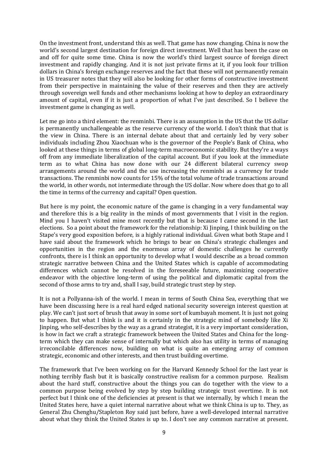On the investment front, understand this as well. That game has now changing. China is now the world's second largest destination for foreign direct investment. Well that has been the case on and off for quite some time. China is now the world's third largest source of foreign direct investment and rapidly changing. And it is not just private firms at it, if you look four trillion dollars in China's foreign exchange reserves and the fact that these will not permanently remain in US treasurer notes that they will also be looking for other forms of constructive investment from their perspective in maintaining the value of their reserves and then they are actively through sovereign well funds and other mechanisms looking at how to deploy an extraordinary amount of capital, even if it is just a proportion of what I've just described. So I believe the investment game is changing as well.

Let me go into a third element: the renminbi. There is an assumption in the US that the US dollar is permanently unchallengeable as the reserve currency of the world. I don't think that that is the view in China. There is an internal debate about that and certainly led by very sober individuals including Zhou Xiaochuan who is the governor of the People's Bank of China, who looked at these things in terms of global long-term macroeconomic stability. But they're a ways off from any immediate liberalization of the capital account. But if you look at the immediate term as to what China has now done with our 24 different bilateral currency swop arrangements around the world and the use increasing the renminbi as a currency for trade transactions. The renminbi now counts for 15% of the total volume of trade transactions around the world, in other words, not intermediate through the US dollar. Now where does that go to all the time in terms of the currency and capital? Open question.

But here is my point, the economic nature of the game is changing in a very fundamental way and therefore this is a big reality in the minds of most governments that I visit in the region. Mind you I haven't visited mine most recently but that is because I came second in the last elections. So a point about the framework for the relationship: Xi Jinping, I think building on the Stape's very good exposition before, is a highly rational individual. Given what both Stape and I have said about the framework which he brings to bear on China's strategic challenges and opportunities in the region and the enormous array of domestic challenges he currently confronts, there is I think an opportunity to develop what I would describe as a broad common strategic narrative between China and the United States which is capable of accommodating differences which cannot be resolved in the foreseeable future, maximizing cooperative endeavor with the objective long-term of using the political and diplomatic capital from the second of those arms to try and, shall I say, build strategic trust step by step.

It is not a Pollyanna-ish of the world. I mean in terms of South China Sea, everything that we have been discussing here is a real hard edged national security sovereign interest question at play. We can't just sort of brush that away in some sort of kumbayah moment. It is just not going to happen. But what I think is and it is certainly in the strategic mind of somebody like Xi Jinping, who self-describes by the way as a grand strategist, it is a very important consideration, is how in fact we craft a strategic framework between the United States and China for the longterm which they can make sense of internally but which also has utility in terms of managing irreconcilable differences now, building on what is quite an emerging array of common strategic, economic and other interests, and then trust building overtime.

The framework that I've been working on for the Harvard Kennedy School for the last year is nothing terribly flash but it is basically constructive realism for a common purpose. Realism about the hard stuff, constructive about the things you can do together with the view to a common purpose being evolved by step by step building strategic trust overtime. It is not perfect but I think one of the deficiencies at present is that we internally, by which I mean the United States here, have a quiet internal narrative about what we think China is up to. They, as General Zhu Chenghu/Stapleton Roy said just before, have a well-developed internal narrative about what they think the United States is up to. I don't see any common narrative at present.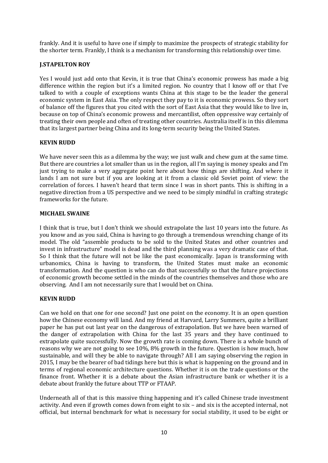frankly. And it is useful to have one if simply to maximize the prospects of strategic stability for the shorter term. Frankly, I think is a mechanism for transforming this relationship over time.

## **J.STAPELTON ROY**

Yes I would just add onto that Kevin, it is true that China's economic prowess has made a big difference within the region but it's a limited region. No country that I know off or that I've talked to with a couple of exceptions wants China at this stage to be the leader the general economic system in East Asia. The only respect they pay to it is economic prowess. So they sort of balance off the figures that you cited with the sort of East Asia that they would like to live in, because on top of China's economic prowess and mercantilist, often oppressive way certainly of treating their own people and often of treating other countries. Australia itself is in this dilemma that its largest partner being China and its long-term security being the United States.

## **KEVIN RUDD**

We have never seen this as a dilemma by the way; we just walk and chew gum at the same time. But there are countries a lot smaller than us in the region, all I'm saying is money speaks and I'm just trying to make a very aggregate point here about how things are shifting. And where it lands I am not sure but if you are looking at it from a classic old Soviet point of view: the correlation of forces. I haven't heard that term since I was in short pants. This is shifting in a negative direction from a US perspective and we need to be simply mindful in crafting strategic frameworks for the future.

#### **MICHAEL SWAINE**

I think that is true, but I don't think we should extrapolate the last 10 years into the future. As you know and as you said, China is having to go through a tremendous wrenching change of its model. The old "assemble products to be sold to the United States and other countries and invest in infrastructure" model is dead and the third planning was a very dramatic case of that. So I think that the future will not be like the past economically. Japan is transforming with urbanomics, China is having to transform, the United States must make an economic transformation. And the question is who can do that successfully so that the future projections of economic growth become settled in the minds of the countries themselves and those who are observing. And I am not necessarily sure that I would bet on China.

## **KEVIN RUDD**

Can we hold on that one for one second? Just one point on the economy. It is an open question how the Chinese economy will land. And my friend at Harvard, Larry Summers, quite a brilliant paper he has put out last year on the dangerous of extrapolation. But we have been warned of the danger of extrapolation with China for the last 35 years and they have continued to extrapolate quite successfully. Now the growth rate is coming down. There is a whole bunch of reasons why we are not going to see 10%, 8% growth in the future. Question is how much, how sustainable, and will they be able to navigate through? All I am saying observing the region in 2015, I may be the bearer of bad tidings here but this is what is happening on the ground and in terms of regional economic architecture questions. Whether it is on the trade questions or the finance front. Whether it is a debate about the Asian infrastructure bank or whether it is a debate about frankly the future about TTP or FTAAP.

Underneath all of that is this massive thing happening and it's called Chinese trade investment activity. And even if growth comes down from eight to six – and six is the accepted internal, not official, but internal benchmark for what is necessary for social stability, it used to be eight or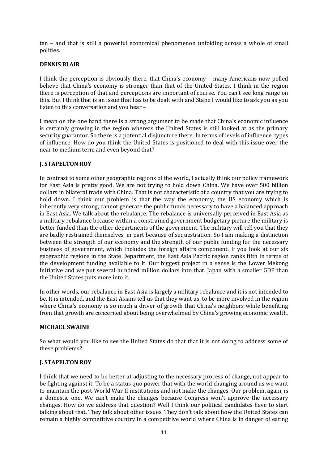ten – and that is still a powerful economical phenomenon unfolding across a whole of small polities.

## **DENNIS BLAIR**

I think the perception is obviously there, that China's economy – many Americans now polled believe that China's economy is stronger than that of the United States. I think in the region there is perception of that and perceptions are important of course. You can't see long range on this. But I think that is an issue that has to be dealt with and Stape I would like to ask you as you listen to this conversation and you hear –

I mean on the one hand there is a strong argument to be made that China's economic influence is certainly growing in the region whereas the United States is still looked at as the primary security guarantor. So there is a potential disjuncture there. In terms of levels of influence, types of influence. How do you think the United States is positioned to deal with this issue over the near to medium term and even beyond that?

## **J. STAPELTON ROY**

In contrast to some other geographic regions of the world, I actually think our policy framework for East Asia is pretty good. We are not trying to hold down China. We have over 500 billion dollars in bilateral trade with China. That is not characteristic of a country that you are trying to hold down. I think our problem is that the way the economy, the US economy which is inherently very strong, cannot generate the public funds necessary to have a balanced approach in East Asia. We talk about the rebalance. The rebalance is universally perceived in East Asia as a military rebalance because within a constrained government budgetary picture the military is better funded than the other departments of the government. The military will tell you that they are badly restrained themselves, in part because of sequestration. So I am making a distinction between the strength of our economy and the strength of our public funding for the necessary business of government, which includes the foreign affairs component. If you look at our six geographic regions in the State Department, the East Asia Pacific region ranks fifth in terms of the development funding available to it. Our biggest project in a sense is the Lower Mekong Initiative and we put several hundred million dollars into that. Japan with a smaller GDP than the United States puts more into it.

In other words, our rebalance in East Asia is largely a military rebalance and it is not intended to be. It is intended, and the East Asians tell us that they want us, to be more involved in the region where China's economy is so much a driver of growth that China's neighbors while benefiting from that growth are concerned about being overwhelmed by China's growing economic wealth.

#### **MICHAEL SWAINE**

So what would you like to see the United States do that that it is not doing to address some of these problems?

#### **J. STAPELTON ROY**

I think that we need to be better at adjusting to the necessary process of change, not appear to be fighting against it. To be a status quo power that with the world changing around us we want to maintain the post-World War II institutions and not make the changes. Our problem, again, is a domestic one. We can't make the changes because Congress won't approve the necessary changes. How do we address that question? Well I think our political candidates have to start talking about that. They talk about other issues. They don't talk about how the United States can remain a highly competitive country in a competitive world where China is in danger of eating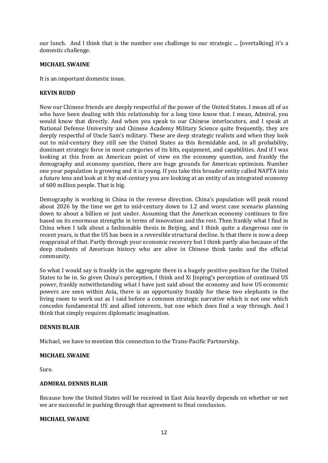our lunch. And I think that is the number one challenge to our strategic ... [overtalking] it's a domestic challenge.

#### **MICHAEL SWAINE**

It is an important domestic issue.

## **KEVIN RUDD**

Now our Chinese friends are deeply respectful of the power of the United States. I mean all of us who have been dealing with this relationship for a long time know that. I mean, Admiral, you would know that directly. And when you speak to our Chinese interlocutors, and I speak at National Defense University and Chinese Academy Military Science quite frequently, they are deeply respectful of Uncle Sam's military. These are deep strategic realists and when they look out to mid-century they still see the United States as this formidable and, in all probability, dominant strategic force in most categories of its kits, equipment, and capabilities. And if I was looking at this from an American point of view on the economy question, and frankly the demography and economy question, there are huge grounds for American optimism. Number one your population is growing and it is young. If you take this broader entity called NAFTA into a future lens and look at it by mid-century you are looking at an entity of an integrated economy of 600 million people. That is big.

Demography is working in China in the reverse direction. China's population will peak round about 2026 by the time we get to mid-century down to 1.2 and worst case scenario planning down to about a billion or just under. Assuming that the American economy continues to fire based on its enormous strengths in terms of innovation and the rest. Then frankly what I find in China when I talk about a fashionable thesis in Beijing, and I think quite a dangerous one in recent years, is that the US has been in a reversible structural decline. Is that there is now a deep reappraisal of that. Partly through your economic recovery but I think partly also because of the deep students of American history who are alive in Chinese think tanks and the official community.

So what I would say is frankly in the aggregate there is a hugely positive position for the United States to be in. So given China's perception, I think and Xi Jinping's perception of continued US power, frankly notwithstanding what I have just said about the economy and how US economic powers are seen within Asia, there is an opportunity frankly for these two elephants in the living room to work out as I said before a common strategic narrative which is not one which concedes fundamental US and allied interests, but one which does find a way through. And I think that simply requires diplomatic imagination.

#### **DENNIS BLAIR**

Michael, we have to mention this connection to the Trans-Pacific Partnership.

#### **MICHAEL SWAINE**

Sure.

#### **ADMIRAL DENNIS BLAIR**

Because how the United States will be received in East Asia heavily depends on whether or not we are successful in pushing through that agreement to final conclusion.

#### **MICHAEL SWAINE**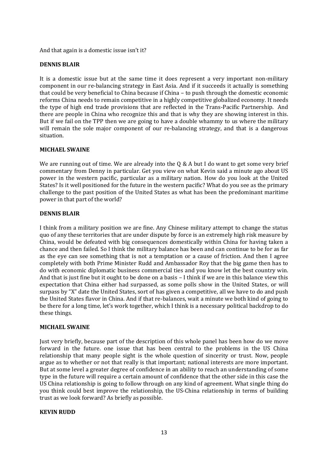And that again is a domestic issue isn't it?

## **DENNIS BLAIR**

It is a domestic issue but at the same time it does represent a very important non-military component in our re-balancing strategy in East Asia. And if it succeeds it actually is something that could be very beneficial to China because if China – to push through the domestic economic reforms China needs to remain competitive in a highly competitive globalized economy. It needs the type of high end trade provisions that are reflected in the Trans-Pacific Partnership. And there are people in China who recognize this and that is why they are showing interest in this. But if we fail on the TPP then we are going to have a double whammy to us where the military will remain the sole major component of our re-balancing strategy, and that is a dangerous situation.

## **MICHAEL SWAINE**

We are running out of time. We are already into the  $Q \& A$  but I do want to get some very brief commentary from Denny in particular. Get you view on what Kevin said a minute ago about US power in the western pacific, particular as a military nation. How do you look at the United States? Is it well positioned for the future in the western pacific? What do you see as the primary challenge to the past position of the United States as what has been the predominant maritime power in that part of the world?

## **DENNIS BLAIR**

I think from a military position we are fine. Any Chinese military attempt to change the status quo of any these territories that are under dispute by force is an extremely high risk measure by China, would be defeated with big consequences domestically within China for having taken a chance and then failed. So I think the military balance has been and can continue to be for as far as the eye can see something that is not a temptation or a cause of friction. And then I agree completely with both Prime Minister Rudd and Ambassador Roy that the big game then has to do with economic diplomatic business commercial ties and you know let the best country win. And that is just fine but it ought to be done on a basis – I think if we are in this balance view this expectation that China either had surpassed, as some polls show in the United States, or will surpass by "X" date the United States, sort of has given a competitive, all we have to do and push the United States flavor in China. And if that re-balances, wait a minute we both kind of going to be there for a long time, let's work together, which I think is a necessary political backdrop to do these things.

#### **MICHAEL SWAINE**

Just very briefly, because part of the description of this whole panel has been how do we move forward in the future. one issue that has been central to the problems in the US China relationship that many people sight is the whole question of sincerity or trust. Now, people argue as to whether or not that really is that important; national interests are more important. But at some level a greater degree of confidence in an ability to reach an understanding of some type in the future will require a certain amount of confidence that the other side in this case the US China relationship is going to follow through on any kind of agreement. What single thing do you think could best improve the relationship, the US-China relationship in terms of building trust as we look forward? As briefly as possible.

#### **KEVIN RUDD**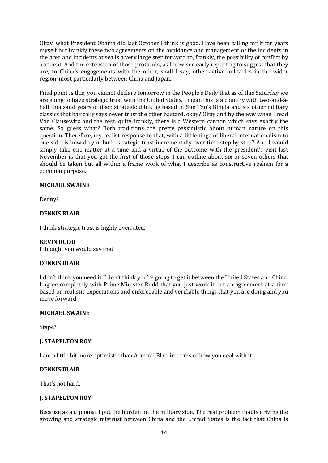Okay, what President Obama did last October I think is good. Have been calling for it for years myself but frankly these two agreements on the avoidance and management of the incidents in the area and incidents at sea is a very large step forward to, frankly, the possibility of conflict by accident. And the extension of those protocols, as I now see early reporting to suggest that they are, to China's engagements with the other, shall I say, other active militaries in the wider region, most particularly between China and Japan.

Final point is this, you cannot declare tomorrow in the People's Daily that as of this Saturday we are going to have strategic trust with the United States. I mean this is a country with two-and-ahalf thousand years of deep strategic thinking based in Sun Tzu's Bingfa and six other military classics that basically says never trust the other bastard, okay? Okay and by the way when I read Von Clausewitz and the rest, quite frankly, there is a Western cannon which says exactly the same. So guess what? Both traditions are pretty pessimistic about human nature on this question. Therefore, my realist response to that, with a little tinge of liberal internationalism to one side, is how do you build strategic trust incrementally over time step by step? And I would simply take one matter at a time and a virtue of the outcome with the president's visit last November is that you got the first of those steps. I can outline about six or seven others that should be taken but all within a frame work of what I describe as constructive realism for a common purpose.

## **MICHAEL SWAINE**

Denny?

## **DENNIS BLAIR**

I think strategic trust is highly overrated.

#### **KEVIN RUDD**

I thought you would say that.

#### **DENNIS BLAIR**

I don't think you need it. I don't think you're going to get it between the United States and China. I agree completely with Prime Minister Rudd that you just work it out an agreement at a time based on realistic expectations and enforceable and verifiable things that you are doing and you move forward.

#### **MICHAEL SWAINE**

Stape?

#### **J. STAPELTON ROY**

I am a little bit more optimistic than Admiral Blair in terms of how you deal with it.

#### **DENNIS BLAIR**

That's not hard.

#### **J. STAPELTON ROY**

Because as a diplomat I put the burden on the military side. The real problem that is driving the growing and strategic mistrust between China and the United States is the fact that China is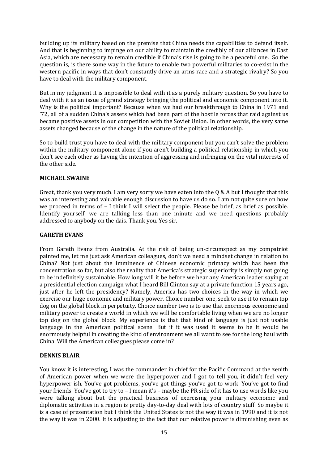building up its military based on the premise that China needs the capabilities to defend itself. And that is beginning to impinge on our ability to maintain the credibly of our alliances in East Asia, which are necessary to remain credible if China's rise is going to be a peaceful one. So the question is, is there some way in the future to enable two powerful militaries to co-exist in the western pacific in ways that don't constantly drive an arms race and a strategic rivalry? So you have to deal with the military component.

But in my judgment it is impossible to deal with it as a purely military question. So you have to deal with it as an issue of grand strategy bringing the political and economic component into it. Why is the political important? Because when we had our breakthrough to China in 1971 and '72, all of a sudden China's assets which had been part of the hostile forces that raid against us became positive assets in our competition with the Soviet Union. In other words, the very same assets changed because of the change in the nature of the political relationship.

So to build trust you have to deal with the military component but you can't solve the problem within the military component alone if you aren't building a political relationship in which you don't see each other as having the intention of aggressing and infringing on the vital interests of the other side.

## **MICHAEL SWAINE**

Great, thank you very much. I am very sorry we have eaten into the  $\alpha \&$  A but I thought that this was an interesting and valuable enough discussion to have us do so. I am not quite sure on how we proceed in terms of – I think I will select the people. Please be brief, as brief as possible. Identify yourself, we are talking less than one minute and we need questions probably addressed to anybody on the dais. Thank you. Yes sir.

## **GARETH EVANS**

From Gareth Evans from Australia. At the risk of being un-circumspect as my compatriot painted me, let me just ask American colleagues, don't we need a mindset change in relation to China? Not just about the imminence of Chinese economic primacy which has been the concentration so far, but also the reality that America's strategic superiority is simply not going to be indefinitely sustainable. How long will it be before we hear any American leader saying at a presidential election campaign what I heard Bill Clinton say at a private function 15 years ago, just after he left the presidency? Namely, America has two choices in the way in which we exercise our huge economic and military power. Choice number one, seek to use it to remain top dog on the global block in perpetuity. Choice number two is to use that enormous economic and military power to create a world in which we will be comfortable living when we are no longer top dog on the global block. My experience is that that kind of language is just not usable language in the American political scene. But if it was used it seems to be it would be enormously helpful in creating the kind of environment we all want to see for the long haul with China. Will the American colleagues please come in?

## **DENNIS BLAIR**

You know it is interesting, I was the commander in chief for the Pacific Command at the zenith of American power when we were the hyperpower and I got to tell you, it didn't feel very hyperpower-ish. You've got problems, you've got things you've got to work. You've got to find your friends. You've got to try to – I mean it's – maybe the PR side of it has to use words like you were talking about but the practical business of exercising your military economic and diplomatic activities in a region is pretty day-to-day deal with lots of country stuff. So maybe it is a case of presentation but I think the United States is not the way it was in 1990 and it is not the way it was in 2000. It is adjusting to the fact that our relative power is diminishing even as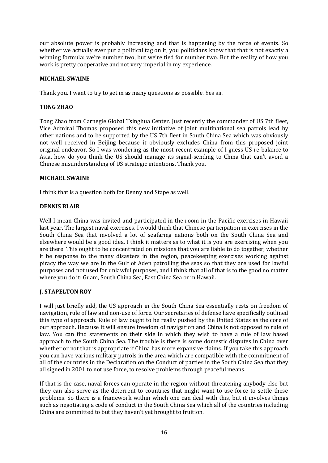our absolute power is probably increasing and that is happening by the force of events. So whether we actually ever put a political tag on it, you politicians know that that is not exactly a winning formula: we're number two, but we're tied for number two. But the reality of how you work is pretty cooperative and not very imperial in my experience.

## **MICHAEL SWAINE**

Thank you. I want to try to get in as many questions as possible. Yes sir.

## **TONG ZHAO**

Tong Zhao from Carnegie Global Tsinghua Center. Just recently the commander of US 7th fleet, Vice Admiral Thomas proposed this new initiative of joint multinational sea patrols lead by other nations and to be supported by the US 7th fleet in South China Sea which was obviously not well received in Beijing because it obviously excludes China from this proposed joint original endeavor. So I was wondering as the most recent example of I guess US re-balance to Asia, how do you think the US should manage its signal-sending to China that can't avoid a Chinese misunderstanding of US strategic intentions. Thank you.

## **MICHAEL SWAINE**

I think that is a question both for Denny and Stape as well.

## **DENNIS BLAIR**

Well I mean China was invited and participated in the room in the Pacific exercises in Hawaii last year. The largest naval exercises. I would think that Chinese participation in exercises in the South China Sea that involved a lot of seafaring nations both on the South China Sea and elsewhere would be a good idea. I think it matters as to what it is you are exercising when you are there. This ought to be concentrated on missions that you are liable to do together, whether it be response to the many disasters in the region, peacekeeping exercises working against piracy the way we are in the Gulf of Aden patrolling the seas so that they are used for lawful purposes and not used for unlawful purposes, and I think that all of that is to the good no matter where you do it: Guam, South China Sea, East China Sea or in Hawaii.

#### **J. STAPELTON ROY**

I will just briefly add, the US approach in the South China Sea essentially rests on freedom of navigation, rule of law and non-use of force. Our secretaries of defense have specifically outlined this type of approach. Rule of law ought to be really pushed by the United States as the core of our approach. Because it will ensure freedom of navigation and China is not opposed to rule of law. You can find statements on their side in which they wish to have a rule of law based approach to the South China Sea. The trouble is there is some domestic disputes in China over whether or not that is appropriate if China has more expansive claims. If you take this approach you can have various military patrols in the area which are compatible with the commitment of all of the countries in the Declaration on the Conduct of parties in the South China Sea that they all signed in 2001 to not use force, to resolve problems through peaceful means.

If that is the case, naval forces can operate in the region without threatening anybody else but they can also serve as the deterrent to countries that might want to use force to settle these problems. So there is a framework within which one can deal with this, but it involves things such as negotiating a code of conduct in the South China Sea which all of the countries including China are committed to but they haven't yet brought to fruition.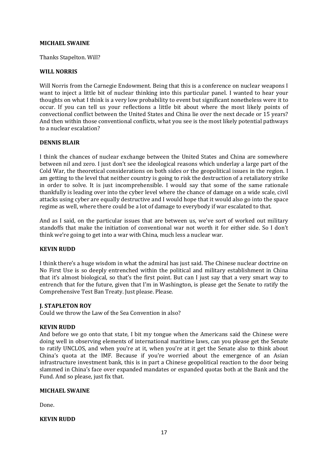## **MICHAEL SWAINE**

Thanks Stapelton. Will?

#### **WILL NORRIS**

Will Norris from the Carnegie Endowment. Being that this is a conference on nuclear weapons I want to inject a little bit of nuclear thinking into this particular panel. I wanted to hear your thoughts on what I think is a very low probability to event but significant nonetheless were it to occur. If you can tell us your reflections a little bit about where the most likely points of convectional conflict between the United States and China lie over the next decade or 15 years? And then within those conventional conflicts, what you see is the most likely potential pathways to a nuclear escalation?

## **DENNIS BLAIR**

I think the chances of nuclear exchange between the United States and China are somewhere between nil and zero. I just don't see the ideological reasons which underlay a large part of the Cold War, the theoretical considerations on both sides or the geopolitical issues in the region. I am getting to the level that neither country is going to risk the destruction of a retaliatory strike in order to solve. It is just incomprehensible. I would say that some of the same rationale thankfully is leading over into the cyber level where the chance of damage on a wide scale, civil attacks using cyber are equally destructive and I would hope that it would also go into the space regime as well, where there could be a lot of damage to everybody if war escalated to that.

And as I said, on the particular issues that are between us, we've sort of worked out military standoffs that make the initiation of conventional war not worth it for either side. So I don't think we're going to get into a war with China, much less a nuclear war.

## **KEVIN RUDD**

I think there's a huge wisdom in what the admiral has just said. The Chinese nuclear doctrine on No First Use is so deeply entrenched within the political and military establishment in China that it's almost biological, so that's the first point. But can I just say that a very smart way to entrench that for the future, given that I'm in Washington, is please get the Senate to ratify the Comprehensive Test Ban Treaty. Just please. Please.

#### **J. STAPLETON ROY**

Could we throw the Law of the Sea Convention in also?

#### **KEVIN RUDD**

And before we go onto that state, I bit my tongue when the Americans said the Chinese were doing well in observing elements of international maritime laws, can you please get the Senate to ratify UNCLOS, and when you're at it, when you're at it get the Senate also to think about China's quota at the IMF. Because if you're worried about the emergence of an Asian infrastructure investment bank, this is in part a Chinese geopolitical reaction to the door being slammed in China's face over expanded mandates or expanded quotas both at the Bank and the Fund. And so please, just fix that.

#### **MICHAEL SWAINE**

Done.

## **KEVIN RUDD**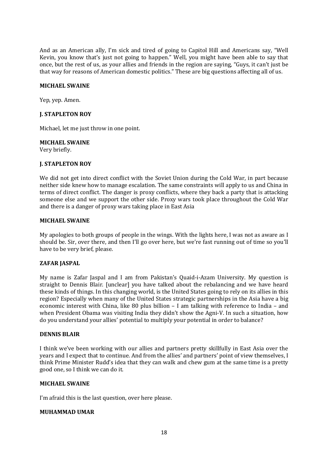And as an American ally, I'm sick and tired of going to Capitol Hill and Americans say, "Well Kevin, you know that's just not going to happen." Well, you might have been able to say that once, but the rest of us, as your allies and friends in the region are saying, "Guys, it can't just be that way for reasons of American domestic politics." These are big questions affecting all of us.

## **MICHAEL SWAINE**

Yep, yep. Amen.

## **J. STAPLETON ROY**

Michael, let me just throw in one point.

## **MICHAEL SWAINE**

Very briefly.

## **J. STAPLETON ROY**

We did not get into direct conflict with the Soviet Union during the Cold War, in part because neither side knew how to manage escalation. The same constraints will apply to us and China in terms of direct conflict. The danger is proxy conflicts, where they back a party that is attacking someone else and we support the other side. Proxy wars took place throughout the Cold War and there is a danger of proxy wars taking place in East Asia

#### **MICHAEL SWAINE**

My apologies to both groups of people in the wings. With the lights here, I was not as aware as I should be. Sir, over there, and then I'll go over here, but we're fast running out of time so you'll have to be very brief, please.

#### **ZAFAR JASPAL**

My name is Zafar Jaspal and I am from Pakistan's Quaid-i-Azam University. My question is straight to Dennis Blair. [unclear] you have talked about the rebalancing and we have heard these kinds of things. In this changing world, is the United States going to rely on its allies in this region? Especially when many of the United States strategic partnerships in the Asia have a big economic interest with China, like 80 plus billion – I am talking with reference to India – and when President Obama was visiting India they didn't show the Agni-V. In such a situation, how do you understand your allies' potential to multiply your potential in order to balance?

#### **DENNIS BLAIR**

I think we've been working with our allies and partners pretty skillfully in East Asia over the years and I expect that to continue. And from the allies' and partners' point of view themselves, I think Prime Minister Rudd's idea that they can walk and chew gum at the same time is a pretty good one, so I think we can do it.

#### **MICHAEL SWAINE**

I'm afraid this is the last question, over here please.

#### **MUHAMMAD UMAR**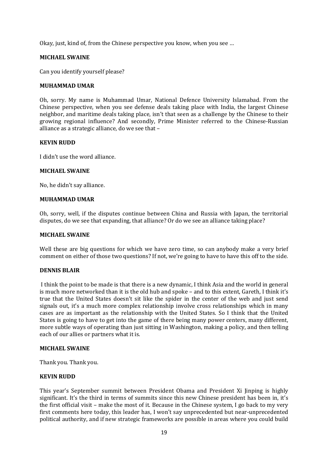Okay, just, kind of, from the Chinese perspective you know, when you see …

#### **MICHAEL SWAINE**

Can you identify yourself please?

#### **MUHAMMAD UMAR**

Oh, sorry. My name is Muhammad Umar, National Defence University Islamabad. From the Chinese perspective, when you see defense deals taking place with India, the largest Chinese neighbor, and maritime deals taking place, isn't that seen as a challenge by the Chinese to their growing regional influence? And secondly, Prime Minister referred to the Chinese-Russian alliance as a strategic alliance, do we see that –

## **KEVIN RUDD**

I didn't use the word alliance.

## **MICHAEL SWAINE**

No, he didn't say alliance.

#### **MUHAMMAD UMAR**

Oh, sorry, well, if the disputes continue between China and Russia with Japan, the territorial disputes, do we see that expanding, that alliance? Or do we see an alliance taking place?

#### **MICHAEL SWAINE**

Well these are big questions for which we have zero time, so can anybody make a very brief comment on either of those two questions? If not, we're going to have to have this off to the side.

#### **DENNIS BLAIR**

I think the point to be made is that there is a new dynamic, I think Asia and the world in general is much more networked than it is the old hub and spoke – and to this extent, Gareth, I think it's true that the United States doesn't sit like the spider in the center of the web and just send signals out, it's a much more complex relationship involve cross relationships which in many cases are as important as the relationship with the United States. So I think that the United States is going to have to get into the game of there being many power centers, many different, more subtle ways of operating than just sitting in Washington, making a policy, and then telling each of our allies or partners what it is.

#### **MICHAEL SWAINE**

Thank you. Thank you.

#### **KEVIN RUDD**

This year's September summit between President Obama and President Xi Jinping is highly significant. It's the third in terms of summits since this new Chinese president has been in, it's the first official visit – make the most of it. Because in the Chinese system, I go back to my very first comments here today, this leader has, I won't say unprecedented but near-unprecedented political authority, and if new strategic frameworks are possible in areas where you could build